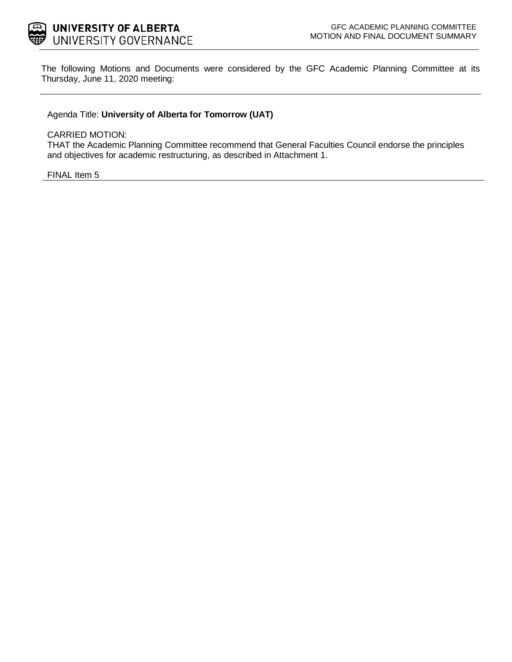

The following Motions and Documents were considered by the GFC Academic Planning Committee at its Thursday, June 11, 2020 meeting:

#### Agenda Title: **University of Alberta for Tomorrow (UAT)**

#### CARRIED MOTION:

THAT the Academic Planning Committee recommend that General Faculties Council endorse the principles and objectives for academic restructuring, as described in Attachment 1.

#### FINAL Item 5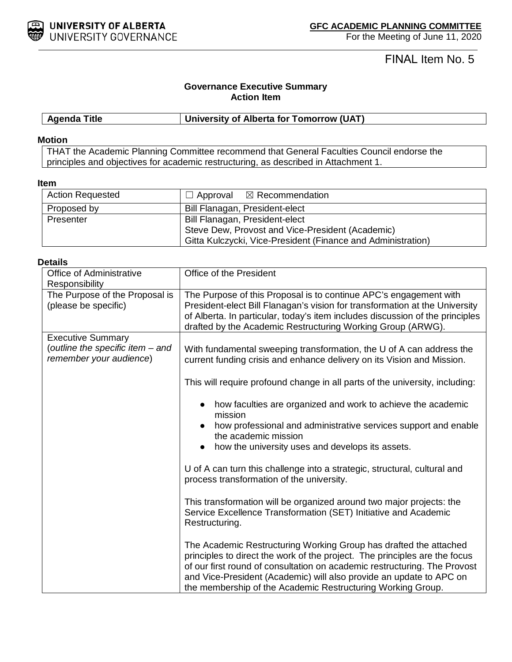

# FINAL Item No. 5

# **Governance Executive Summary Action Item**

# **Agenda Title University of Alberta for Tomorrow (UAT)**

### **Motion**

THAT the Academic Planning Committee recommend that General Faculties Council endorse the principles and objectives for academic restructuring, as described in Attachment 1.

#### **Item**

| <b>Action Requested</b> | $\Box$ Approval $\boxtimes$ Recommendation                   |  |  |
|-------------------------|--------------------------------------------------------------|--|--|
| Proposed by             | Bill Flanagan, President-elect                               |  |  |
| Presenter               | Bill Flanagan, President-elect                               |  |  |
|                         | Steve Dew, Provost and Vice-President (Academic)             |  |  |
|                         | Gitta Kulczycki, Vice-President (Finance and Administration) |  |  |

| <b>Details</b>                                                                          |                                                                                                                                                                                                                                                                                                                                                                    |  |  |
|-----------------------------------------------------------------------------------------|--------------------------------------------------------------------------------------------------------------------------------------------------------------------------------------------------------------------------------------------------------------------------------------------------------------------------------------------------------------------|--|--|
| <b>Office of Administrative</b><br>Responsibility                                       | Office of the President<br>The Purpose of this Proposal is to continue APC's engagement with<br>President-elect Bill Flanagan's vision for transformation at the University<br>of Alberta. In particular, today's item includes discussion of the principles<br>drafted by the Academic Restructuring Working Group (ARWG).                                        |  |  |
| The Purpose of the Proposal is<br>(please be specific)                                  |                                                                                                                                                                                                                                                                                                                                                                    |  |  |
| <b>Executive Summary</b><br>(outline the specific item - and<br>remember your audience) | With fundamental sweeping transformation, the U of A can address the<br>current funding crisis and enhance delivery on its Vision and Mission.                                                                                                                                                                                                                     |  |  |
|                                                                                         | This will require profound change in all parts of the university, including:                                                                                                                                                                                                                                                                                       |  |  |
|                                                                                         | how faculties are organized and work to achieve the academic<br>$\bullet$<br>mission<br>how professional and administrative services support and enable<br>the academic mission<br>how the university uses and develops its assets.<br>$\bullet$                                                                                                                   |  |  |
|                                                                                         | U of A can turn this challenge into a strategic, structural, cultural and<br>process transformation of the university.                                                                                                                                                                                                                                             |  |  |
|                                                                                         | This transformation will be organized around two major projects: the<br>Service Excellence Transformation (SET) Initiative and Academic<br>Restructuring.                                                                                                                                                                                                          |  |  |
|                                                                                         | The Academic Restructuring Working Group has drafted the attached<br>principles to direct the work of the project. The principles are the focus<br>of our first round of consultation on academic restructuring. The Provost<br>and Vice-President (Academic) will also provide an update to APC on<br>the membership of the Academic Restructuring Working Group. |  |  |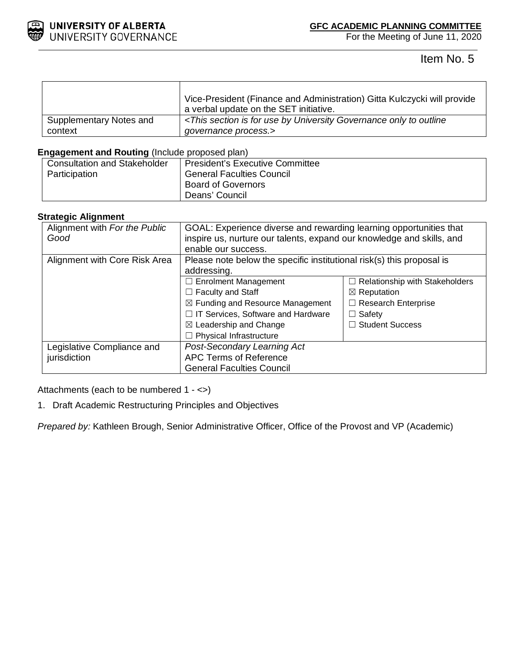

 $\overline{1}$ 

For the Meeting of June 11, 2020

Item No. 5

|                         | Vice-President (Finance and Administration) Gitta Kulczycki will provide<br>a verbal update on the SET initiative. |
|-------------------------|--------------------------------------------------------------------------------------------------------------------|
| Supplementary Notes and | <this by="" for="" governance="" is="" only="" outline<="" section="" td="" to="" university="" use=""></this>     |
| context                 | governance process.>                                                                                               |

# **Engagement and Routing** (Include proposed plan)

| <b>Consultation and Stakeholder</b> | <b>President's Executive Committee</b> |
|-------------------------------------|----------------------------------------|
| Participation                       | <b>General Faculties Council</b>       |
|                                     |                                        |
|                                     | <b>Board of Governors</b>              |
|                                     | Deans' Council                         |
|                                     |                                        |

### **Strategic Alignment**

| Alignment with For the Public<br>Good | GOAL: Experience diverse and rewarding learning opportunities that<br>inspire us, nurture our talents, expand our knowledge and skills, and<br>enable our success. |                                       |  |
|---------------------------------------|--------------------------------------------------------------------------------------------------------------------------------------------------------------------|---------------------------------------|--|
| Alignment with Core Risk Area         | Please note below the specific institutional risk(s) this proposal is<br>addressing.                                                                               |                                       |  |
|                                       | $\Box$ Enrolment Management                                                                                                                                        | $\Box$ Relationship with Stakeholders |  |
|                                       | $\Box$ Faculty and Staff                                                                                                                                           | $\boxtimes$ Reputation                |  |
|                                       | $\boxtimes$ Funding and Resource Management                                                                                                                        | $\Box$ Research Enterprise            |  |
|                                       | □ IT Services, Software and Hardware                                                                                                                               | $\Box$ Safety                         |  |
|                                       | $\boxtimes$ Leadership and Change                                                                                                                                  | $\Box$ Student Success                |  |
|                                       | $\Box$ Physical Infrastructure                                                                                                                                     |                                       |  |
| Legislative Compliance and            | Post-Secondary Learning Act                                                                                                                                        |                                       |  |
| jurisdiction                          | APC Terms of Reference                                                                                                                                             |                                       |  |
|                                       | <b>General Faculties Council</b>                                                                                                                                   |                                       |  |

Attachments (each to be numbered 1 - <>)

1. Draft Academic Restructuring Principles and Objectives

*Prepared by:* Kathleen Brough, Senior Administrative Officer, Office of the Provost and VP (Academic)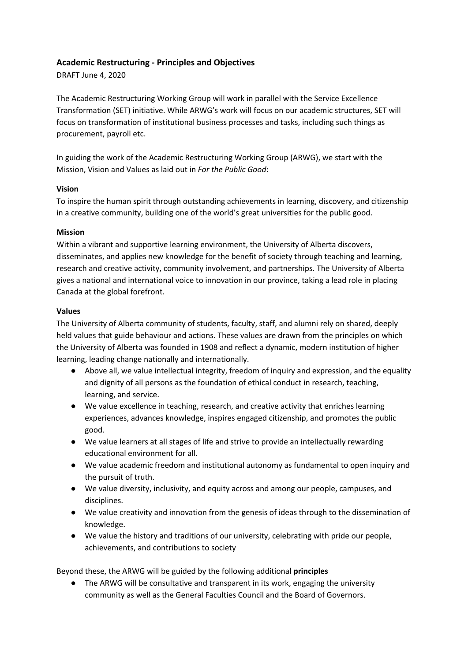# **Academic Restructuring - Principles and Objectives**

DRAFT June 4, 2020

The Academic Restructuring Working Group will work in parallel with the Service Excellence Transformation (SET) initiative. While ARWG's work will focus on our academic structures, SET will focus on transformation of institutional business processes and tasks, including such things as procurement, payroll etc.

In guiding the work of the Academic Restructuring Working Group (ARWG), we start with the Mission, Vision and Values as laid out in *For the Public Good*:

# **Vision**

To inspire the human spirit through outstanding achievements in learning, discovery, and citizenship in a creative community, building one of the world's great universities for the public good.

# **Mission**

Within a vibrant and supportive learning environment, the University of Alberta discovers, disseminates, and applies new knowledge for the benefit of society through teaching and learning, research and creative activity, community involvement, and partnerships. The University of Alberta gives a national and international voice to innovation in our province, taking a lead role in placing Canada at the global forefront.

# **Values**

The University of Alberta community of students, faculty, staff, and alumni rely on shared, deeply held values that guide behaviour and actions. These values are drawn from the principles on which the University of Alberta was founded in 1908 and reflect a dynamic, modern institution of higher learning, leading change nationally and internationally.

- Above all, we value intellectual integrity, freedom of inquiry and expression, and the equality and dignity of all persons as the foundation of ethical conduct in research, teaching, learning, and service.
- We value excellence in teaching, research, and creative activity that enriches learning experiences, advances knowledge, inspires engaged citizenship, and promotes the public good.
- We value learners at all stages of life and strive to provide an intellectually rewarding educational environment for all.
- We value academic freedom and institutional autonomy as fundamental to open inquiry and the pursuit of truth.
- We value diversity, inclusivity, and equity across and among our people, campuses, and disciplines.
- We value creativity and innovation from the genesis of ideas through to the dissemination of knowledge.
- We value the history and traditions of our university, celebrating with pride our people, achievements, and contributions to society

Beyond these, the ARWG will be guided by the following additional **principles**

● The ARWG will be consultative and transparent in its work, engaging the university community as well as the General Faculties Council and the Board of Governors.